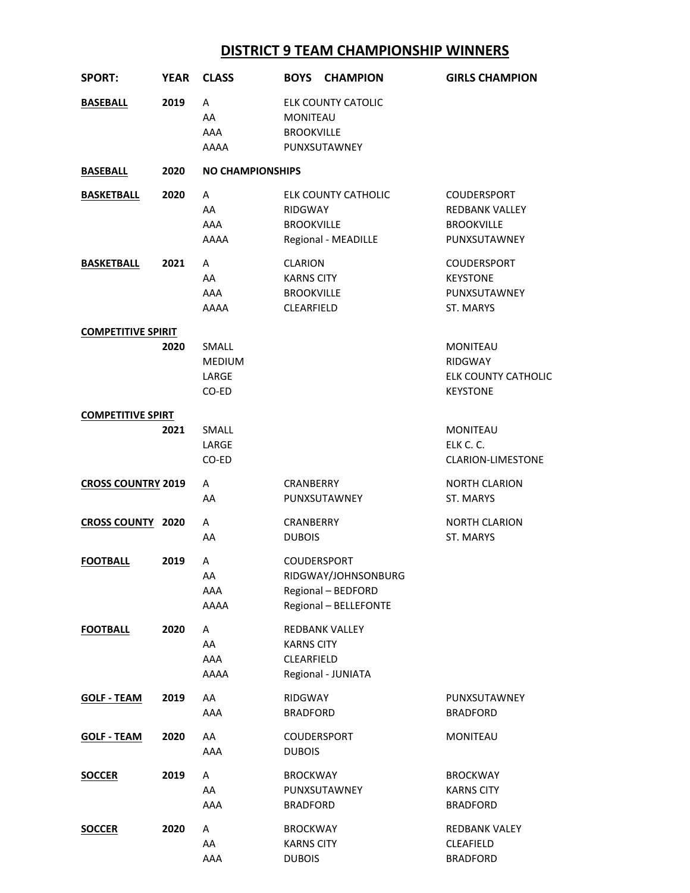## **DISTRICT 9 TEAM CHAMPIONSHIP WINNERS**

| <b>SPORT:</b>             | <b>YEAR</b> | <b>CLASS</b>                      | <b>BOYS</b><br><b>CHAMPION</b>                                                           | <b>GIRLS CHAMPION</b>                                                       |
|---------------------------|-------------|-----------------------------------|------------------------------------------------------------------------------------------|-----------------------------------------------------------------------------|
| <b>BASEBALL</b>           | 2019        | A<br>AA<br>AAA<br>AAAA            | ELK COUNTY CATOLIC<br><b>MONITEAU</b><br><b>BROOKVILLE</b><br>PUNXSUTAWNEY               |                                                                             |
| <b>BASEBALL</b>           | 2020        | <b>NO CHAMPIONSHIPS</b>           |                                                                                          |                                                                             |
| <b>BASKETBALL</b>         | 2020        | A                                 | <b>ELK COUNTY CATHOLIC</b>                                                               | <b>COUDERSPORT</b>                                                          |
|                           |             | AA<br>AAA<br>AAAA                 | <b>RIDGWAY</b><br><b>BROOKVILLE</b><br>Regional - MEADILLE                               | <b>REDBANK VALLEY</b><br><b>BROOKVILLE</b><br>PUNXSUTAWNEY                  |
| <b>BASKETBALL</b>         | 2021        | A<br>AA<br>AAA<br>AAAA            | <b>CLARION</b><br><b>KARNS CITY</b><br><b>BROOKVILLE</b><br><b>CLEARFIELD</b>            | <b>COUDERSPORT</b><br><b>KEYSTONE</b><br>PUNXSUTAWNEY<br>ST. MARYS          |
| <b>COMPETITIVE SPIRIT</b> |             |                                   |                                                                                          |                                                                             |
|                           | 2020        | SMALL<br>MEDIUM<br>LARGE<br>CO-ED |                                                                                          | <b>MONITEAU</b><br><b>RIDGWAY</b><br>ELK COUNTY CATHOLIC<br><b>KEYSTONE</b> |
| <b>COMPETITIVE SPIRT</b>  |             |                                   |                                                                                          |                                                                             |
|                           | 2021        | SMALL<br>LARGE<br>CO-ED           |                                                                                          | <b>MONITEAU</b><br>ELK C. C.<br><b>CLARION-LIMESTONE</b>                    |
| <b>CROSS COUNTRY 2019</b> |             | A<br>AA                           | CRANBERRY<br>PUNXSUTAWNEY                                                                | <b>NORTH CLARION</b><br><b>ST. MARYS</b>                                    |
| <b>CROSS COUNTY 2020</b>  |             | A<br>AA                           | CRANBERRY<br><b>DUBOIS</b>                                                               | <b>NORTH CLARION</b><br>ST. MARYS                                           |
| <b>FOOTBALL</b>           | 2019        | A<br>AA<br>AAA<br>AAAA            | <b>COUDERSPORT</b><br>RIDGWAY/JOHNSONBURG<br>Regional - BEDFORD<br>Regional - BELLEFONTE |                                                                             |
| <b>FOOTBALL</b>           | 2020        | A<br>AA<br>AAA<br>AAAA            | REDBANK VALLEY<br><b>KARNS CITY</b><br>CLEARFIELD<br>Regional - JUNIATA                  |                                                                             |
| <b>GOLF - TEAM</b>        | 2019        | AA<br>AAA                         | <b>RIDGWAY</b><br><b>BRADFORD</b>                                                        | PUNXSUTAWNEY<br><b>BRADFORD</b>                                             |
| <b>GOLF - TEAM</b>        | 2020        | AA<br>AAA                         | <b>COUDERSPORT</b><br><b>DUBOIS</b>                                                      | <b>MONITEAU</b>                                                             |
| <b>SOCCER</b>             | 2019        | A<br>AA<br>AAA                    | <b>BROCKWAY</b><br>PUNXSUTAWNEY<br><b>BRADFORD</b>                                       | <b>BROCKWAY</b><br><b>KARNS CITY</b><br><b>BRADFORD</b>                     |
| <b>SOCCER</b>             | 2020        | Α<br>AA<br>AAA                    | <b>BROCKWAY</b><br><b>KARNS CITY</b><br><b>DUBOIS</b>                                    | <b>REDBANK VALEY</b><br>CLEAFIELD<br><b>BRADFORD</b>                        |